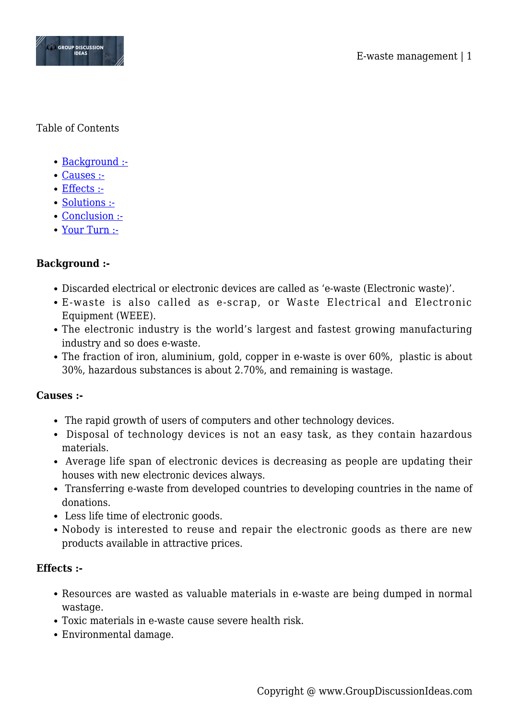

#### Table of Contents

- [Background :-](#page--1-0)
- [Causes :-](#page--1-0)
- [Effects :-](#page--1-0)
- [Solutions :-](#page--1-0)
- [Conclusion :-](#page--1-0)
- [Your Turn :-](#page--1-0)

### **Background :-**

- Discarded electrical or electronic devices are called as 'e-waste (Electronic waste)'.
- E-waste is also called as e-scrap, or Waste Electrical and Electronic Equipment (WEEE).
- The electronic industry is the world's largest and fastest growing manufacturing industry and so does e-waste.
- The fraction of iron, aluminium, gold, copper in e-waste is over 60%, plastic is about 30%, hazardous substances is about 2.70%, and remaining is wastage.

#### **Causes :-**

- The rapid growth of users of computers and other technology devices.
- Disposal of technology devices is not an easy task, as they contain hazardous materials.
- Average life span of electronic devices is decreasing as people are updating their houses with new electronic devices always.
- Transferring e-waste from developed countries to developing countries in the name of donations.
- Less life time of electronic goods.
- Nobody is interested to reuse and repair the electronic goods as there are new products available in attractive prices.

#### **Effects :-**

- Resources are wasted as valuable materials in e-waste are being dumped in normal wastage.
- Toxic materials in e-waste cause severe health risk.
- Environmental damage.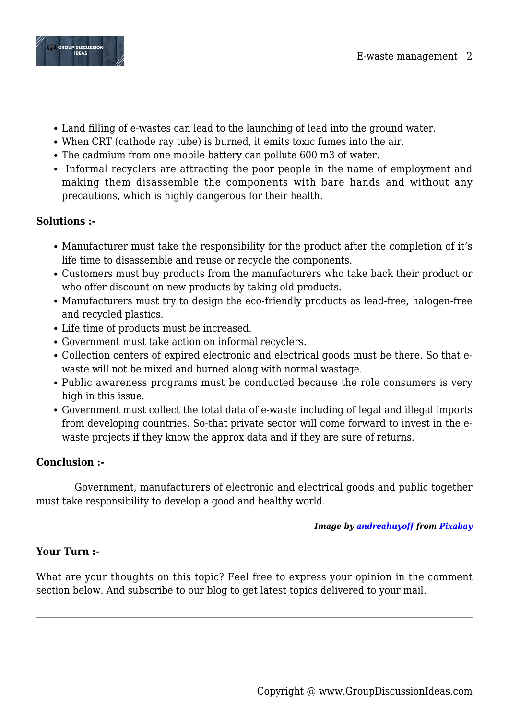

- Land filling of e-wastes can lead to the launching of lead into the ground water.
- When CRT (cathode ray tube) is burned, it emits toxic fumes into the air.
- The cadmium from one mobile battery can pollute 600 m3 of water.
- Informal recyclers are attracting the poor people in the name of employment and making them disassemble the components with bare hands and without any precautions, which is highly dangerous for their health.

# **Solutions :-**

- Manufacturer must take the responsibility for the product after the completion of it's life time to disassemble and reuse or recycle the components.
- Customers must buy products from the manufacturers who take back their product or who offer discount on new products by taking old products.
- Manufacturers must try to design the eco-friendly products as lead-free, halogen-free and recycled plastics.
- Life time of products must be increased.
- Government must take action on informal recyclers.
- Collection centers of expired electronic and electrical goods must be there. So that ewaste will not be mixed and burned along with normal wastage.
- Public awareness programs must be conducted because the role consumers is very high in this issue.
- Government must collect the total data of e-waste including of legal and illegal imports from developing countries. So-that private sector will come forward to invest in the ewaste projects if they know the approx data and if they are sure of returns.

# **Conclusion :-**

 Government, manufacturers of electronic and electrical goods and public together must take responsibility to develop a good and healthy world.

### *Image by [andreahuyoff](https://pixabay.com/users/andreahuyoff-6220013/?utm_source=link-attribution&utm_medium=referral&utm_campaign=image&utm_content=3734545) from [Pixabay](https://pixabay.com/?utm_source=link-attribution&utm_medium=referral&utm_campaign=image&utm_content=3734545)*

# **Your Turn :-**

What are your thoughts on this topic? Feel free to express your opinion in the comment section below. And subscribe to our blog to get latest topics delivered to your mail.